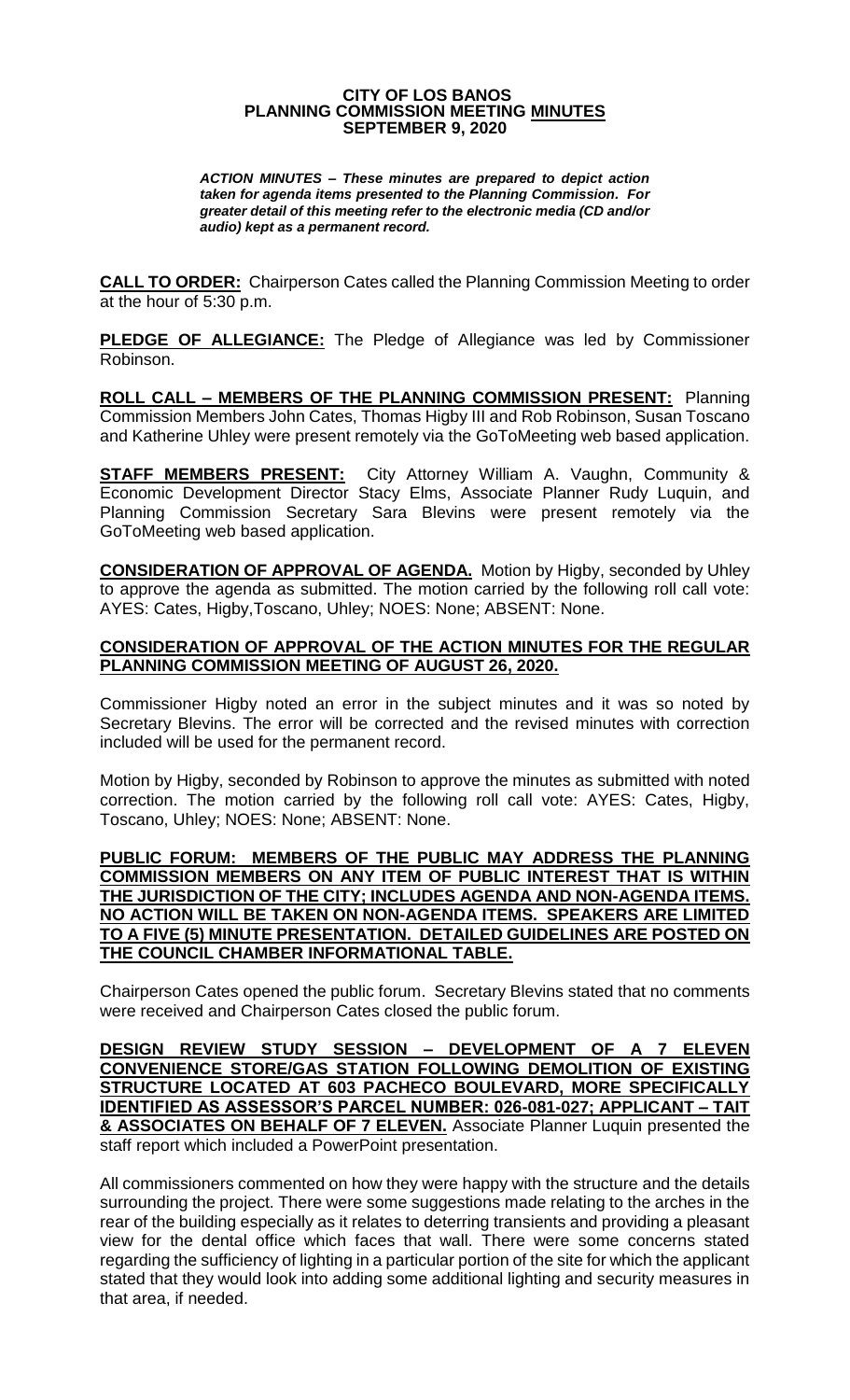#### **CITY OF LOS BANOS PLANNING COMMISSION MEETING MINUTES SEPTEMBER 9, 2020**

*ACTION MINUTES – These minutes are prepared to depict action taken for agenda items presented to the Planning Commission. For greater detail of this meeting refer to the electronic media (CD and/or audio) kept as a permanent record.*

**CALL TO ORDER:** Chairperson Cates called the Planning Commission Meeting to order at the hour of 5:30 p.m.

**PLEDGE OF ALLEGIANCE:** The Pledge of Allegiance was led by Commissioner Robinson.

**ROLL CALL – MEMBERS OF THE PLANNING COMMISSION PRESENT:** Planning Commission Members John Cates, Thomas Higby III and Rob Robinson, Susan Toscano and Katherine Uhley were present remotely via the GoToMeeting web based application.

**STAFF MEMBERS PRESENT:** City Attorney William A. Vaughn, Community & Economic Development Director Stacy Elms, Associate Planner Rudy Luquin, and Planning Commission Secretary Sara Blevins were present remotely via the GoToMeeting web based application.

**CONSIDERATION OF APPROVAL OF AGENDA.** Motion by Higby, seconded by Uhley to approve the agenda as submitted. The motion carried by the following roll call vote: AYES: Cates, Higby,Toscano, Uhley; NOES: None; ABSENT: None.

#### **CONSIDERATION OF APPROVAL OF THE ACTION MINUTES FOR THE REGULAR PLANNING COMMISSION MEETING OF AUGUST 26, 2020.**

Commissioner Higby noted an error in the subject minutes and it was so noted by Secretary Blevins. The error will be corrected and the revised minutes with correction included will be used for the permanent record.

Motion by Higby, seconded by Robinson to approve the minutes as submitted with noted correction. The motion carried by the following roll call vote: AYES: Cates, Higby, Toscano, Uhley; NOES: None; ABSENT: None.

#### **PUBLIC FORUM: MEMBERS OF THE PUBLIC MAY ADDRESS THE PLANNING COMMISSION MEMBERS ON ANY ITEM OF PUBLIC INTEREST THAT IS WITHIN THE JURISDICTION OF THE CITY; INCLUDES AGENDA AND NON-AGENDA ITEMS. NO ACTION WILL BE TAKEN ON NON-AGENDA ITEMS. SPEAKERS ARE LIMITED TO A FIVE (5) MINUTE PRESENTATION. DETAILED GUIDELINES ARE POSTED ON THE COUNCIL CHAMBER INFORMATIONAL TABLE.**

Chairperson Cates opened the public forum. Secretary Blevins stated that no comments were received and Chairperson Cates closed the public forum.

**DESIGN REVIEW STUDY SESSION – DEVELOPMENT OF A 7 ELEVEN CONVENIENCE STORE/GAS STATION FOLLOWING DEMOLITION OF EXISTING STRUCTURE LOCATED AT 603 PACHECO BOULEVARD, MORE SPECIFICALLY IDENTIFIED AS ASSESSOR'S PARCEL NUMBER: 026-081-027; APPLICANT – TAIT & ASSOCIATES ON BEHALF OF 7 ELEVEN.** Associate Planner Luquin presented the staff report which included a PowerPoint presentation.

All commissioners commented on how they were happy with the structure and the details surrounding the project. There were some suggestions made relating to the arches in the rear of the building especially as it relates to deterring transients and providing a pleasant view for the dental office which faces that wall. There were some concerns stated regarding the sufficiency of lighting in a particular portion of the site for which the applicant stated that they would look into adding some additional lighting and security measures in that area, if needed.